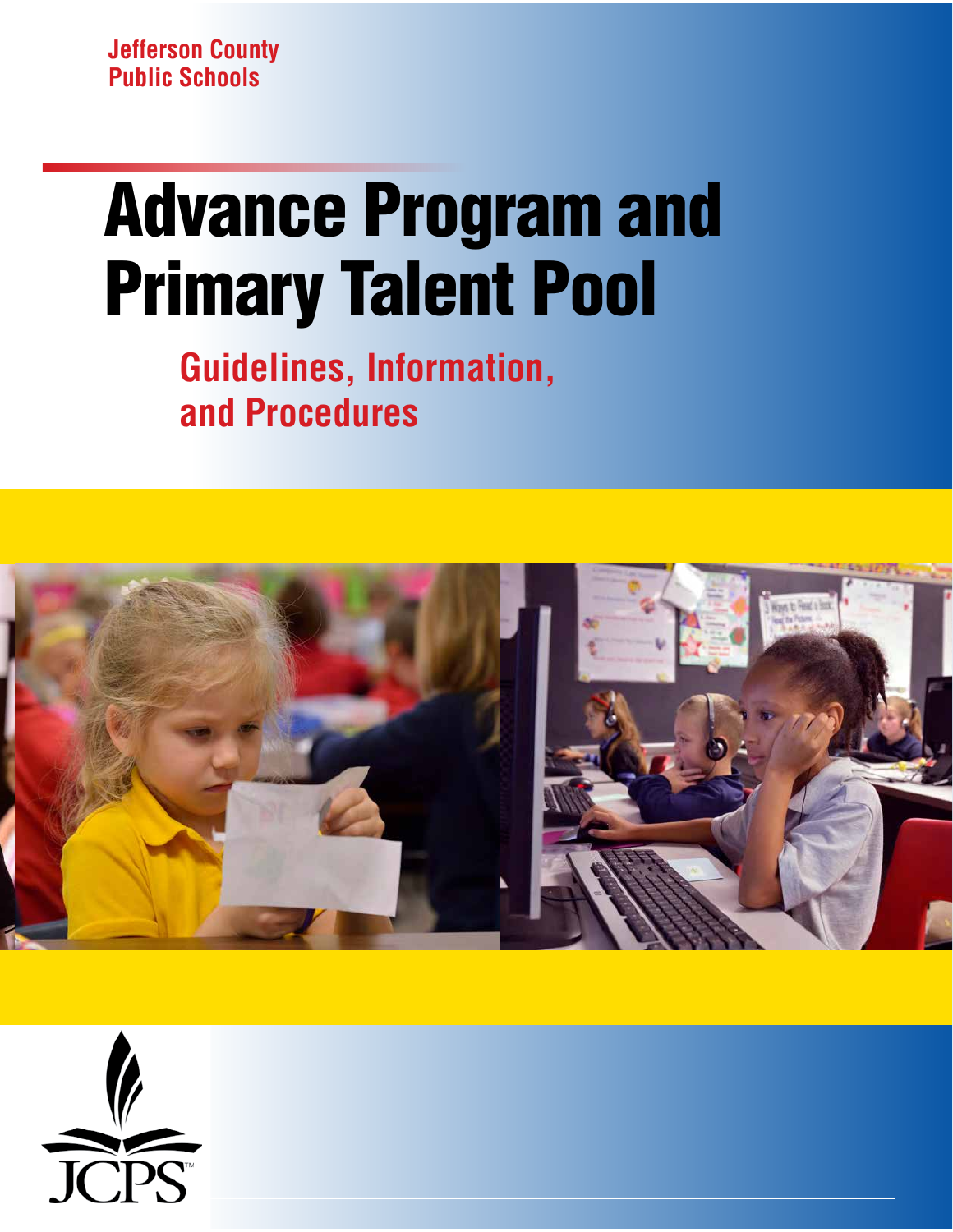**Jefferson County Public Schools**

# Advance Program and Primary Talent Pool

**Guidelines, Information, and Procedures**



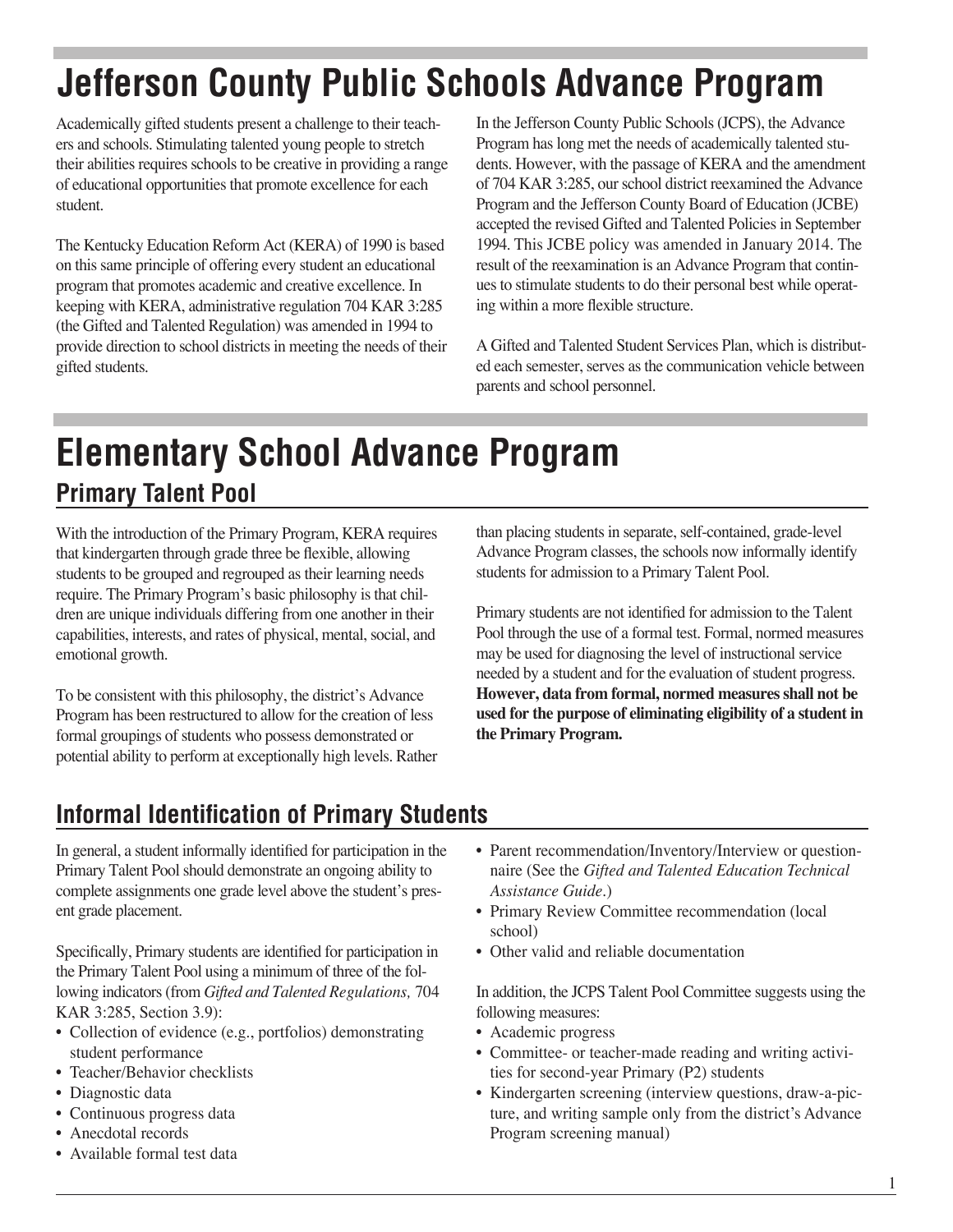# **Jefferson County Public Schools Advance Program**

Academically gifted students present a challenge to their teachers and schools. Stimulating talented young people to stretch their abilities requires schools to be creative in providing a range of educational opportunities that promote excellence for each student.

The Kentucky Education Reform Act (KERA) of 1990 is based on this same principle of offering every student an educational program that promotes academic and creative excellence. In keeping with KERA, administrative regulation 704 KAR 3:285 (the Gifted and Talented Regulation) was amended in 1994 to provide direction to school districts in meeting the needs of their gifted students.

In the Jefferson County Public Schools (JCPS), the Advance Program has long met the needs of academically talented students. However, with the passage of KERA and the amendment of 704 KAR 3:285, our school district reexamined the Advance Program and the Jefferson County Board of Education (JCBE) accepted the revised Gifted and Talented Policies in September 1994. This JCBE policy was amended in January 2014. The result of the reexamination is an Advance Program that continues to stimulate students to do their personal best while operating within a more fexible structure.

A Gifted and Talented Student Services Plan, which is distributed each semester, serves as the communication vehicle between parents and school personnel.

### **Elementary School Advance Program Primary Talent Pool**

With the introduction of the Primary Program, KERA requires that kindergarten through grade three be fexible, allowing students to be grouped and regrouped as their learning needs require. The Primary Program's basic philosophy is that children are unique individuals differing from one another in their capabilities, interests, and rates of physical, mental, social, and emotional growth.

To be consistent with this philosophy, the district's Advance Program has been restructured to allow for the creation of less formal groupings of students who possess demonstrated or potential ability to perform at exceptionally high levels. Rather than placing students in separate, self-contained, grade-level Advance Program classes, the schools now informally identify students for admission to a Primary Talent Pool.

Primary students are not identifed for admission to the Talent Pool through the use of a formal test. Formal, normed measures may be used for diagnosing the level of instructional service needed by a student and for the evaluation of student progress. **However, data from formal, normed measures shall not be used for the purpose of eliminating eligibility of a student in the Primary Program.**

### **Informal Identification of Primary Students**

In general, a student informally identifed for participation in the Primary Talent Pool should demonstrate an ongoing ability to complete assignments one grade level above the student's present grade placement.

Specifcally, Primary students are identifed for participation in the Primary Talent Pool using a minimum of three of the following indicators (from *Gifted and Talented Regulations,* 704 KAR 3:285, Section 3.9):

- Collection of evidence (e.g., portfolios) demonstrating student performance
- Teacher/Behavior checklists
- Diagnostic data
- Continuous progress data
- Anecdotal records
- Available formal test data
- Parent recommendation/Inventory/Interview or questionnaire (See the *Gifted and Talented Education Technical Assistance Guide*.)
- Primary Review Committee recommendation (local school)
- Other valid and reliable documentation

In addition, the JCPS Talent Pool Committee suggests using the following measures:

- Academic progress
- Committee- or teacher-made reading and writing activities for second-year Primary (P2) students
- Kindergarten screening (interview questions, draw-a-picture, and writing sample only from the district's Advance Program screening manual)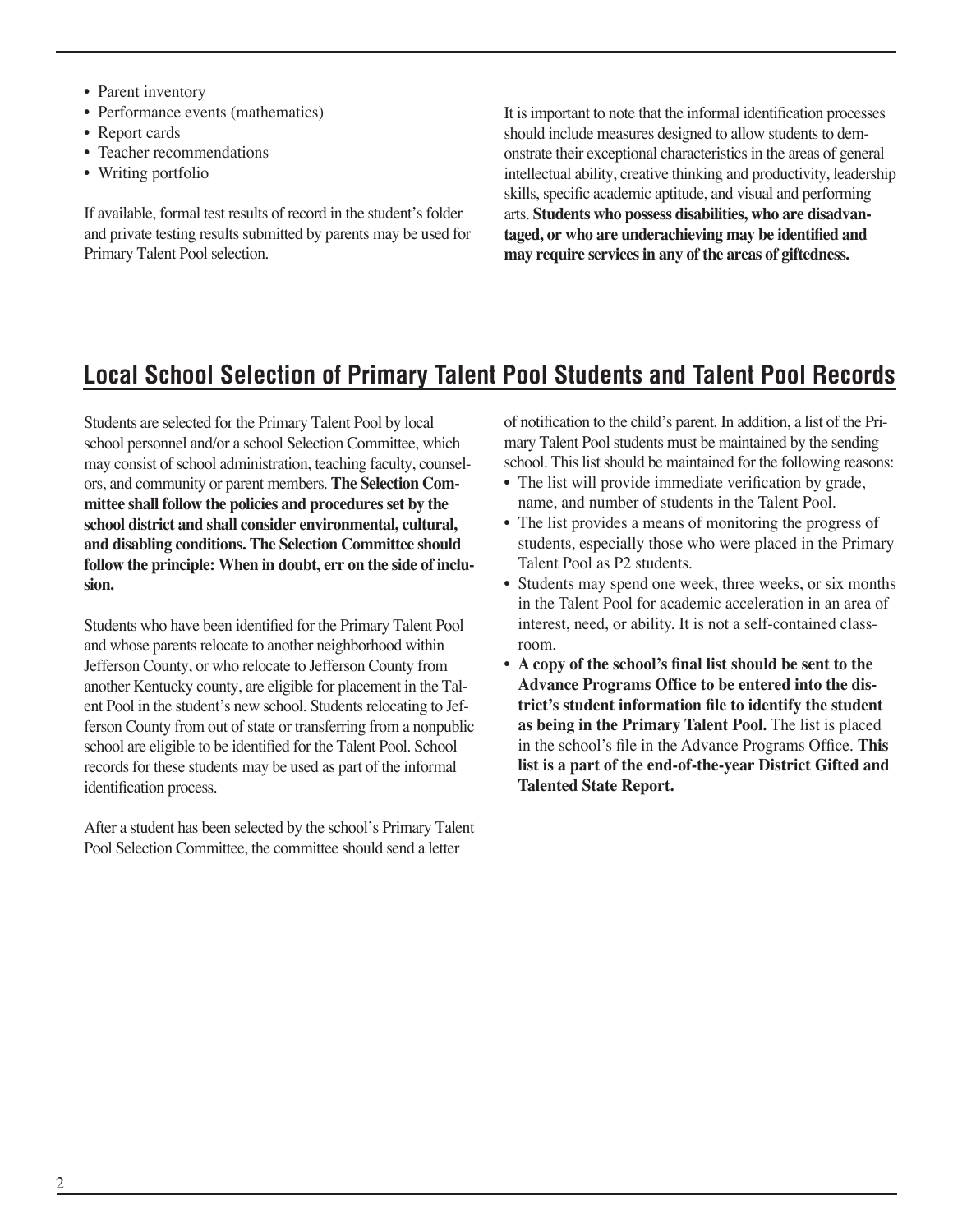- Parent inventory
- Performance events (mathematics)
- Report cards
- Teacher recommendations
- Writing portfolio

If available, formal test results of record in the student's folder and private testing results submitted by parents may be used for Primary Talent Pool selection.

It is important to note that the informal identifcation processes should include measures designed to allow students to demonstrate their exceptional characteristics in the areas of general intellectual ability, creative thinking and productivity, leadership skills, specifc academic aptitude, and visual and performing arts. **Students who possess disabilities, who are disadvantaged, or who are underachieving may be identifed and may require services in any of the areas of giftedness.**

#### **Local School Selection of Primary Talent Pool Students and Talent Pool Records**

Students are selected for the Primary Talent Pool by local school personnel and/or a school Selection Committee, which may consist of school administration, teaching faculty, counselors, and community or parent members. **The Selection Committee shall follow the policies and procedures set by the school district and shall consider environmental, cultural, and disabling conditions. The Selection Committee should follow the principle: When in doubt, err on the side of inclusion.**

Students who have been identifed for the Primary Talent Pool and whose parents relocate to another neighborhood within Jefferson County, or who relocate to Jefferson County from another Kentucky county, are eligible for placement in the Talent Pool in the student's new school. Students relocating to Jefferson County from out of state or transferring from a nonpublic school are eligible to be identifed for the Talent Pool. School records for these students may be used as part of the informal identifcation process.

After a student has been selected by the school's Primary Talent Pool Selection Committee, the committee should send a letter

of notifcation to the child's parent. In addition, a list of the Primary Talent Pool students must be maintained by the sending school. This list should be maintained for the following reasons:

- The list will provide immediate verifcation by grade, name, and number of students in the Talent Pool.
- The list provides a means of monitoring the progress of students, especially those who were placed in the Primary Talent Pool as P2 students.
- Students may spend one week, three weeks, or six months in the Talent Pool for academic acceleration in an area of interest, need, or ability. It is not a self-contained classroom.
- **A copy of the school's fnal list should be sent to the** Advance Programs Office to be entered into the dis**trict's student information fle to identify the student as being in the Primary Talent Pool.** The list is placed in the school's file in the Advance Programs Office. This **list is a part of the end-of-the-year District Gifted and Talented State Report.**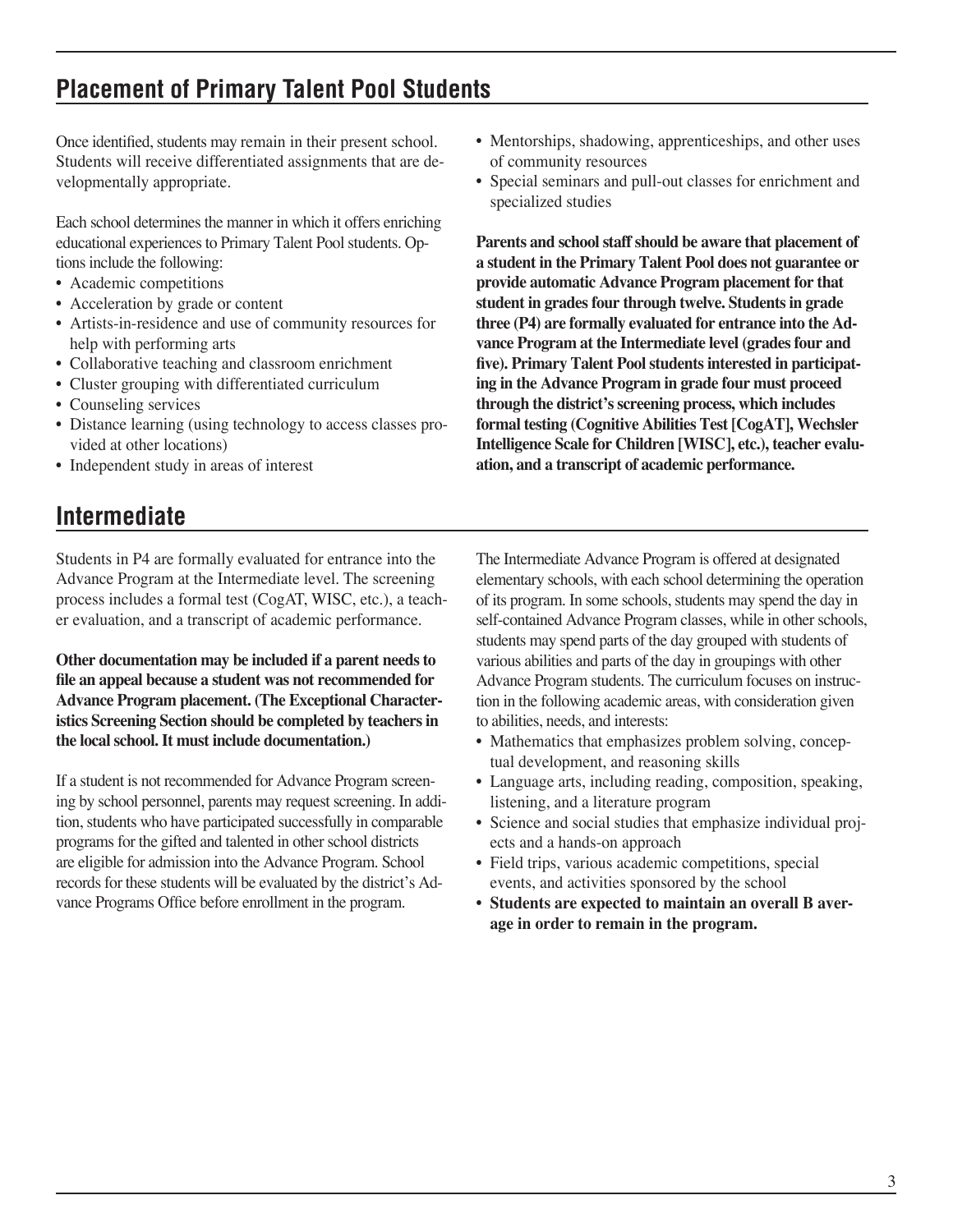#### **Placement of Primary Talent Pool Students**

Once identifed, students may remain in their present school. Students will receive differentiated assignments that are developmentally appropriate.

Each school determines the manner in which it offers enriching educational experiences to Primary Talent Pool students. Options include the following:

- Academic competitions
- Acceleration by grade or content
- Artists-in-residence and use of community resources for help with performing arts
- Collaborative teaching and classroom enrichment
- Cluster grouping with differentiated curriculum
- Counseling services
- Distance learning (using technology to access classes provided at other locations)
- Independent study in areas of interest

### **Intermediate**

Students in P4 are formally evaluated for entrance into the Advance Program at the Intermediate level. The screening process includes a formal test (CogAT, WISC, etc.), a teacher evaluation, and a transcript of academic performance.

**Other documentation may be included if a parent needs to fle an appeal because a student was not recommended for Advance Program placement. (The Exceptional Characteristics Screening Section should be completed by teachers in the local school. It must include documentation.)**

If a student is not recommended for Advance Program screening by school personnel, parents may request screening. In addition, students who have participated successfully in comparable programs for the gifted and talented in other school districts are eligible for admission into the Advance Program. School records for these students will be evaluated by the district's Advance Programs Office before enrollment in the program.

- Mentorships, shadowing, apprenticeships, and other uses of community resources
- Special seminars and pull-out classes for enrichment and specialized studies

**Parents and school staff should be aware that placement of a student in the Primary Talent Pool does not guarantee or provide automatic Advance Program placement for that student in grades four through twelve. Students in grade three (P4) are formally evaluated for entrance into the Advance Program at the Intermediate level (grades four and fve). Primary Talent Pool students interested in participating in the Advance Program in grade four must proceed through the district's screening process, which includes formal testing (Cognitive Abilities Test [CogAT], Wechsler Intelligence Scale for Children [WISC], etc.), teacher evaluation, and a transcript of academic performance.**

The Intermediate Advance Program is offered at designated elementary schools, with each school determining the operation of its program. In some schools, students may spend the day in self-contained Advance Program classes, while in other schools, students may spend parts of the day grouped with students of various abilities and parts of the day in groupings with other Advance Program students. The curriculum focuses on instruction in the following academic areas, with consideration given to abilities, needs, and interests:

- Mathematics that emphasizes problem solving, conceptual development, and reasoning skills
- Language arts, including reading, composition, speaking, listening, and a literature program
- Science and social studies that emphasize individual projects and a hands-on approach
- Field trips, various academic competitions, special events, and activities sponsored by the school
- **• Students are expected to maintain an overall B average in order to remain in the program.**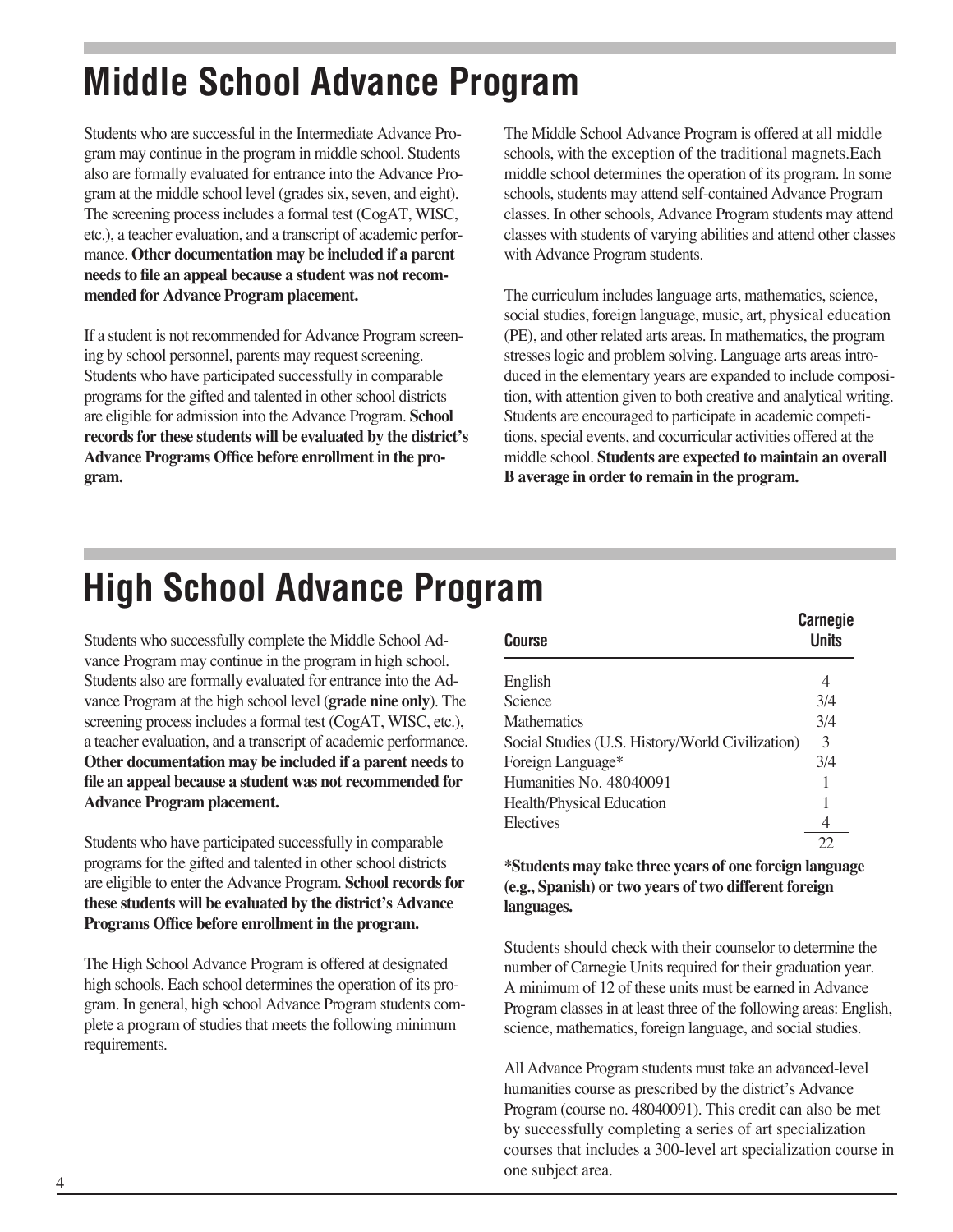## **Middle School Advance Program**

Students who are successful in the Intermediate Advance Program may continue in the program in middle school. Students also are formally evaluated for entrance into the Advance Program at the middle school level (grades six, seven, and eight). The screening process includes a formal test (CogAT, WISC, etc.), a teacher evaluation, and a transcript of academic performance. **Other documentation may be included if a parent needs to fle an appeal because a student was not recommended for Advance Program placement.**

If a student is not recommended for Advance Program screening by school personnel, parents may request screening. Students who have participated successfully in comparable programs for the gifted and talented in other school districts are eligible for admission into the Advance Program. **School records for these students will be evaluated by the district's**  Advance Programs Office before enrollment in the pro**gram.**

The Middle School Advance Program is offered at all middle schools, with the exception of the traditional magnets.Each middle school determines the operation of its program. In some schools, students may attend self-contained Advance Program classes. In other schools, Advance Program students may attend classes with students of varying abilities and attend other classes with Advance Program students.

The curriculum includes language arts, mathematics, science, social studies, foreign language, music, art, physical education (PE), and other related arts areas. In mathematics, the program stresses logic and problem solving. Language arts areas introduced in the elementary years are expanded to include composition, with attention given to both creative and analytical writing. Students are encouraged to participate in academic competitions, special events, and cocurricular activities offered at the middle school. **Students are expected to maintain an overall B average in order to remain in the program.** 

### **High School Advance Program**

Students who successfully complete the Middle School Advance Program may continue in the program in high school. Students also are formally evaluated for entrance into the Advance Program at the high school level (**grade nine only**). The screening process includes a formal test (CogAT, WISC, etc.), a teacher evaluation, and a transcript of academic performance. **Other documentation may be included if a parent needs to fle an appeal because a student was not recommended for Advance Program placement.**

Students who have participated successfully in comparable programs for the gifted and talented in other school districts are eligible to enter the Advance Program. **School records for these students will be evaluated by the district's Advance**  Programs Office before enrollment in the program.

The High School Advance Program is offered at designated high schools. Each school determines the operation of its program. In general, high school Advance Program students complete a program of studies that meets the following minimum requirements.

| <b>Course</b>                                    | <b>Carnegie</b><br><b>Units</b> |
|--------------------------------------------------|---------------------------------|
| English                                          | 4                               |
| Science                                          | 3/4                             |
| <b>Mathematics</b>                               | 3/4                             |
| Social Studies (U.S. History/World Civilization) | 3                               |
| Foreign Language*                                | 3/4                             |
| Humanities No. 48040091                          | 1                               |
| <b>Health/Physical Education</b>                 | 1                               |
| Electives                                        | 4                               |
|                                                  |                                 |

**\*Students may take three years of one foreign language (e.g., Spanish) or two years of two different foreign languages.**

Students should check with their counselor to determine the number of Carnegie Units required for their graduation year. A minimum of 12 of these units must be earned in Advance Program classes in at least three of the following areas: English, science, mathematics, foreign language, and social studies.

All Advance Program students must take an advanced-level humanities course as prescribed by the district's Advance Program (course no. 48040091). This credit can also be met by successfully completing a series of art specialization courses that includes a 300-level art specialization course in one subject area.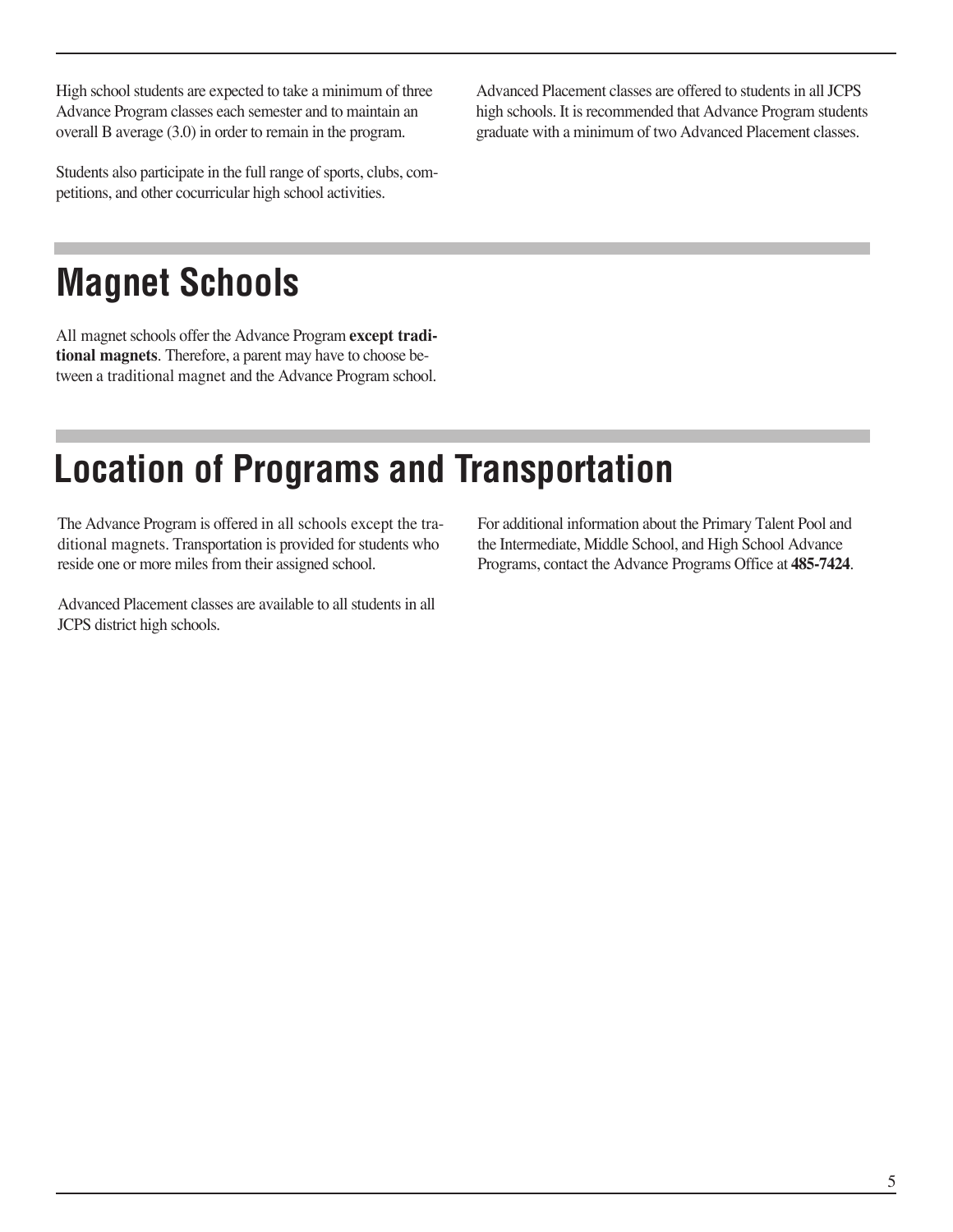High school students are expected to take a minimum of three Advance Program classes each semester and to maintain an overall B average (3.0) in order to remain in the program.

Students also participate in the full range of sports, clubs, competitions, and other cocurricular high school activities.

Advanced Placement classes are offered to students in all JCPS high schools. It is recommended that Advance Program students graduate with a minimum of two Advanced Placement classes.

### **Magnet Schools**

All magnet schools offer the Advance Program **except traditional magnets**. Therefore, a parent may have to choose between a traditional magnet and the Advance Program school.

### **Location of Programs and Transportation**

The Advance Program is offered in all schools except the traditional magnets. Transportation is provided for students who reside one or more miles from their assigned school.

Advanced Placement classes are available to all students in all JCPS district high schools.

For additional information about the Primary Talent Pool and the Intermediate, Middle School, and High School Advance Programs, contact the Advance Programs Office at **485-7424**.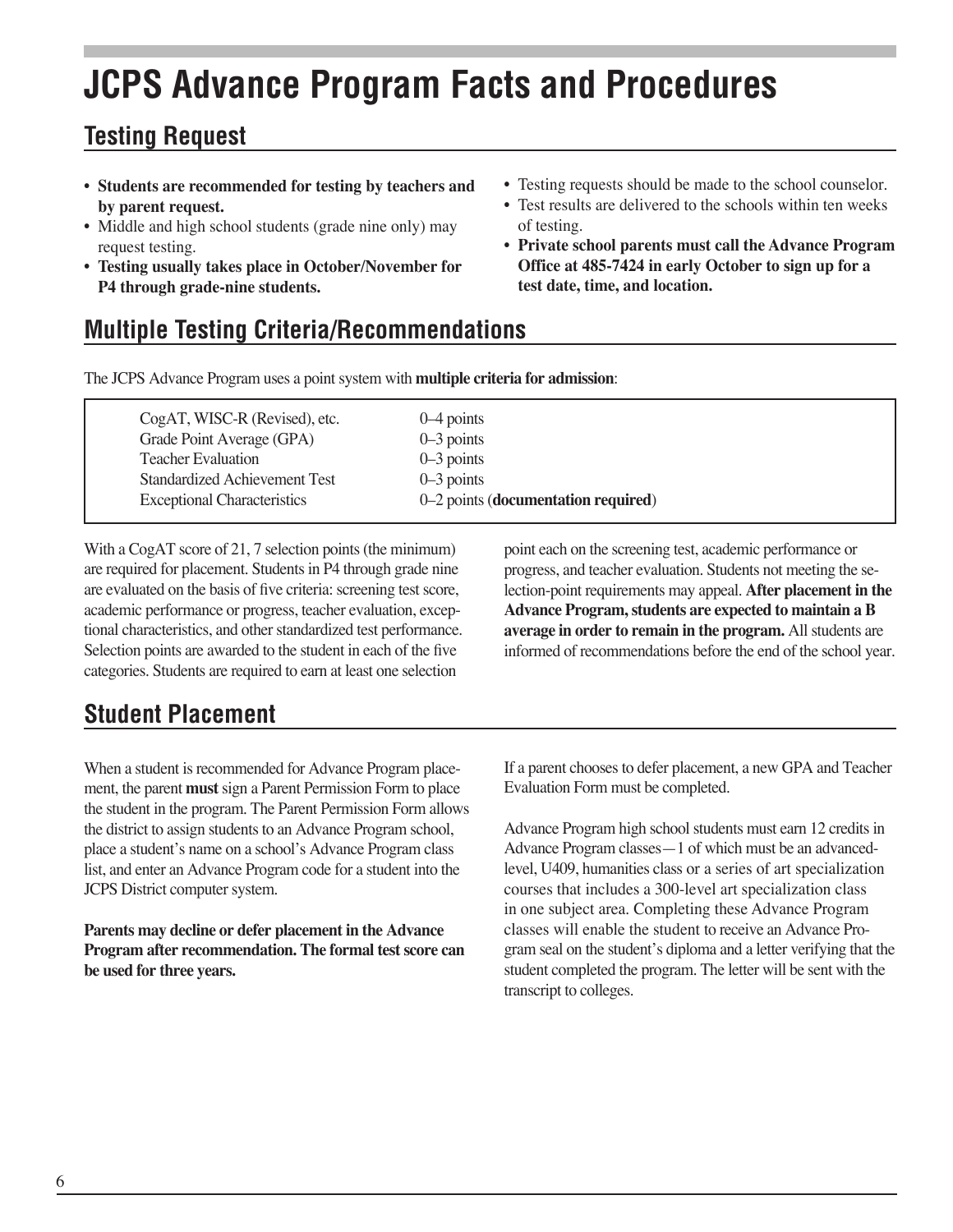## **JCPS Advance Program Facts and Procedures**

### **Testing Request**

- **Students are recommended for testing by teachers and by parent request.**
- Middle and high school students (grade nine only) may request testing.
- **• Testing usually takes place in October/November for P4 through grade-nine students.**
- Testing requests should be made to the school counselor.
- Test results are delivered to the schools within ten weeks of testing.
- **Private school parents must call the Advance Program Office at 485-7424 in early October to sign up for a test date, time, and location.**

### **Multiple Testing Criteria/Recommendations**

The JCPS Advance Program uses a point system with **multiple criteria for admission**:

| CogAT, WISC-R (Revised), etc.        | $0-4$ points                        |
|--------------------------------------|-------------------------------------|
| Grade Point Average (GPA)            | $0-3$ points                        |
| <b>Teacher Evaluation</b>            | $0-3$ points                        |
| <b>Standardized Achievement Test</b> | $0-3$ points                        |
| <b>Exceptional Characteristics</b>   | 0–2 points (documentation required) |
|                                      |                                     |

With a CogAT score of 21, 7 selection points (the minimum) are required for placement. Students in P4 through grade nine are evaluated on the basis of fve criteria: screening test score, academic performance or progress, teacher evaluation, exceptional characteristics, and other standardized test performance. Selection points are awarded to the student in each of the fve categories. Students are required to earn at least one selection

point each on the screening test, academic performance or progress, and teacher evaluation. Students not meeting the selection-point requirements may appeal. **After placement in the Advance Program, students are expected to maintain a B average in order to remain in the program.** All students are informed of recommendations before the end of the school year.

### **Student Placement**

When a student is recommended for Advance Program placement, the parent **must** sign a Parent Permission Form to place the student in the program. The Parent Permission Form allows the district to assign students to an Advance Program school, place a student's name on a school's Advance Program class list, and enter an Advance Program code for a student into the JCPS District computer system.

**Parents may decline or defer placement in the Advance Program after recommendation. The formal test score can be used for three years.** 

If a parent chooses to defer placement, a new GPA and Teacher Evaluation Form must be completed.

Advance Program high school students must earn 12 credits in Advance Program classes—1 of which must be an advancedlevel, U409, humanities class or a series of art specialization courses that includes a 300-level art specialization class in one subject area. Completing these Advance Program classes will enable the student to receive an Advance Program seal on the student's diploma and a letter verifying that the student completed the program. The letter will be sent with the transcript to colleges.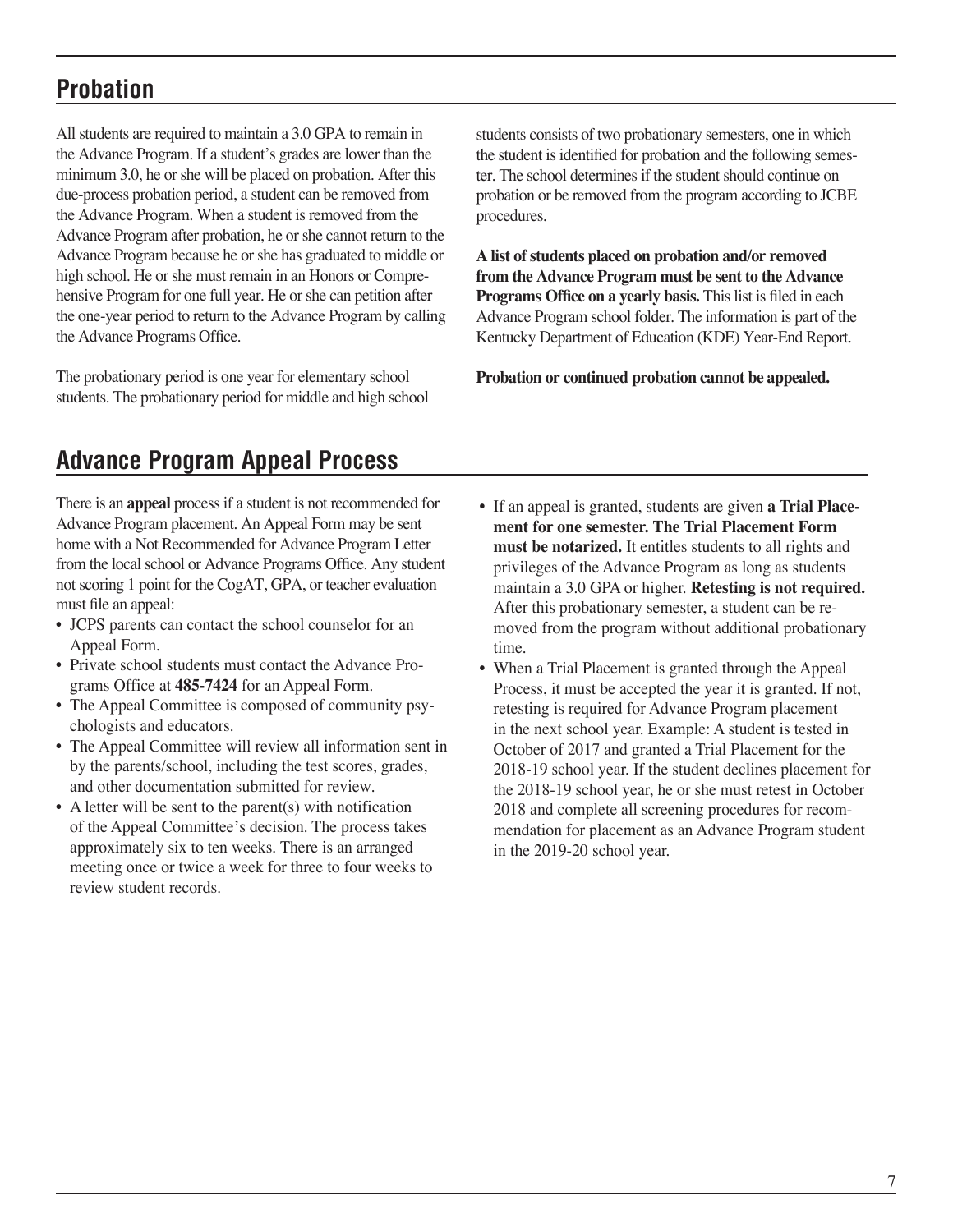#### **Probation**

All students are required to maintain a 3.0 GPA to remain in the Advance Program. If a student's grades are lower than the minimum 3.0, he or she will be placed on probation. After this due-process probation period, a student can be removed from the Advance Program. When a student is removed from the Advance Program after probation, he or she cannot return to the Advance Program because he or she has graduated to middle or high school. He or she must remain in an Honors or Comprehensive Program for one full year. He or she can petition after the one-year period to return to the Advance Program by calling the Advance Programs Office.

The probationary period is one year for elementary school students. The probationary period for middle and high school students consists of two probationary semesters, one in which the student is identifed for probation and the following semester. The school determines if the student should continue on probation or be removed from the program according to JCBE procedures.

**A list of students placed on probation and/or removed from the Advance Program must be sent to the Advance**  Programs Office on a yearly basis. This list is filed in each Advance Program school folder. The information is part of the Kentucky Department of Education (KDE) Year-End Report.

**Probation or continued probation cannot be appealed.**

### **Advance Program Appeal Process**

There is an **appeal** process if a student is not recommended for Advance Program placement. An Appeal Form may be sent home with a Not Recommended for Advance Program Letter from the local school or Advance Programs Office. Any student not scoring 1 point for the CogAT, GPA, or teacher evaluation must fle an appeal:

- JCPS parents can contact the school counselor for an Appeal Form.
- Private school students must contact the Advance Programs Office at **485-7424** for an Appeal Form.
- The Appeal Committee is composed of community psychologists and educators.
- The Appeal Committee will review all information sent in by the parents/school, including the test scores, grades, and other documentation submitted for review.
- A letter will be sent to the parent(s) with notification of the Appeal Committee's decision. The process takes approximately six to ten weeks. There is an arranged meeting once or twice a week for three to four weeks to review student records.
- If an appeal is granted, students are given **a Trial Placement for one semester. The Trial Placement Form must be notarized.** It entitles students to all rights and privileges of the Advance Program as long as students maintain a 3.0 GPA or higher. **Retesting is not required.** After this probationary semester, a student can be removed from the program without additional probationary time.
- When a Trial Placement is granted through the Appeal Process, it must be accepted the year it is granted. If not, retesting is required for Advance Program placement in the next school year. Example: A student is tested in October of 2017 and granted a Trial Placement for the 2018-19 school year. If the student declines placement for the 2018-19 school year, he or she must retest in October 2018 and complete all screening procedures for recommendation for placement as an Advance Program student in the 2019-20 school year.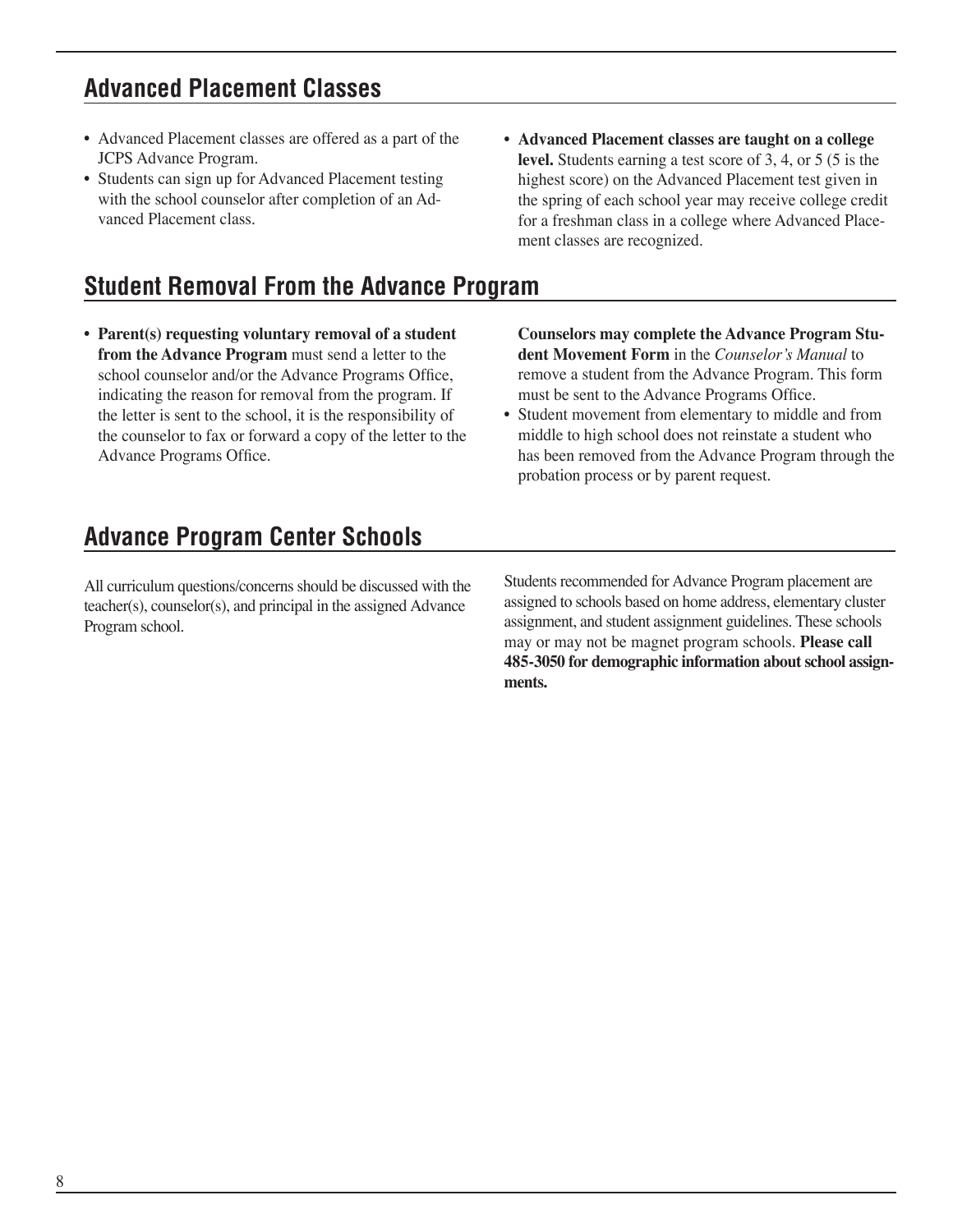#### **Advanced Placement Classes**

- Advanced Placement classes are offered as a part of the JCPS Advance Program.
- Students can sign up for Advanced Placement testing with the school counselor after completion of an Advanced Placement class.

### **Student Removal From the Advance Program**

- **• Parent(s) requesting voluntary removal of a student from the Advance Program** must send a letter to the school counselor and/or the Advance Programs Office, indicating the reason for removal from the program. If the letter is sent to the school, it is the responsibility of the counselor to fax or forward a copy of the letter to the Advance Programs Office.
- **Advanced Placement classes are taught on a college level.** Students earning a test score of 3, 4, or 5 (5 is the highest score) on the Advanced Placement test given in the spring of each school year may receive college credit for a freshman class in a college where Advanced Placement classes are recognized.

**Counselors may complete the Advance Program Student Movement Form** in the *Counselor's Manual* to remove a student from the Advance Program. This form must be sent to the Advance Programs Office.

• Student movement from elementary to middle and from middle to high school does not reinstate a student who has been removed from the Advance Program through the probation process or by parent request.

#### **Advance Program Center Schools**

All curriculum questions/concerns should be discussed with the teacher(s), counselor(s), and principal in the assigned Advance Program school.

Students recommended for Advance Program placement are assigned to schools based on home address, elementary cluster assignment, and student assignment guidelines. These schools may or may not be magnet program schools. **Please call 485-3050 for demographic information about school assignments.**